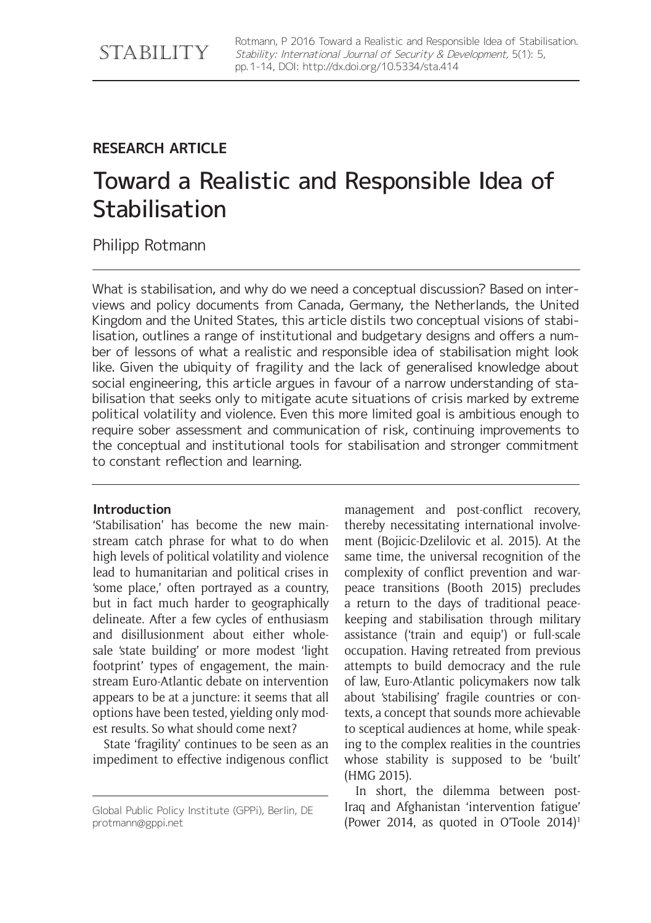# **RESEARCH ARTICLE**

# Toward a Realistic and Responsible Idea of **Stabilisation**

Philipp Rotmann

What is stabilisation, and why do we need a conceptual discussion? Based on interviews and policy documents from Canada, Germany, the Netherlands, the United Kingdom and the United States, this article distils two conceptual visions of stabilisation, outlines a range of institutional and budgetary designs and offers a number of lessons of what a realistic and responsible idea of stabilisation might look like. Given the ubiquity of fragility and the lack of generalised knowledge about social engineering, this article argues in favour of a narrow understanding of stabilisation that seeks only to mitigate acute situations of crisis marked by extreme political volatility and violence. Even this more limited goal is ambitious enough to require sober assessment and communication of risk, continuing improvements to the conceptual and institutional tools for stabilisation and stronger commitment to constant reflection and learning.

# **Introduction**

'Stabilisation' has become the new mainstream catch phrase for what to do when high levels of political volatility and violence lead to humanitarian and political crises in 'some place,' often portrayed as a country, but in fact much harder to geographically delineate. After a few cycles of enthusiasm and disillusionment about either wholesale 'state building' or more modest 'light footprint' types of engagement, the mainstream Euro-Atlantic debate on intervention appears to be at a juncture: it seems that all options have been tested, yielding only modest results. So what should come next?

State 'fragility' continues to be seen as an impediment to effective indigenous conflict

management and post-conflict recovery, thereby necessitating international involvement (Bojicic-Dzelilovic et al. 2015). At the same time, the universal recognition of the complexity of conflict prevention and warpeace transitions (Booth 2015) precludes a return to the days of traditional peacekeeping and stabilisation through military assistance ('train and equip') or full-scale occupation. Having retreated from previous attempts to build democracy and the rule of law, Euro-Atlantic policymakers now talk about 'stabilising' fragile countries or contexts, a concept that sounds more achievable to sceptical audiences at home, while speaking to the complex realities in the countries whose stability is supposed to be 'built' (HMG 2015).

In short, the dilemma between post-Iraq and Afghanistan 'intervention fatigue' (Power 2014, as quoted in O'Toole 2014)<sup>1</sup>

Global Public Policy Institute (GPPi), Berlin, DE [protmann@gppi.net](mailto:protmann@gppi.net)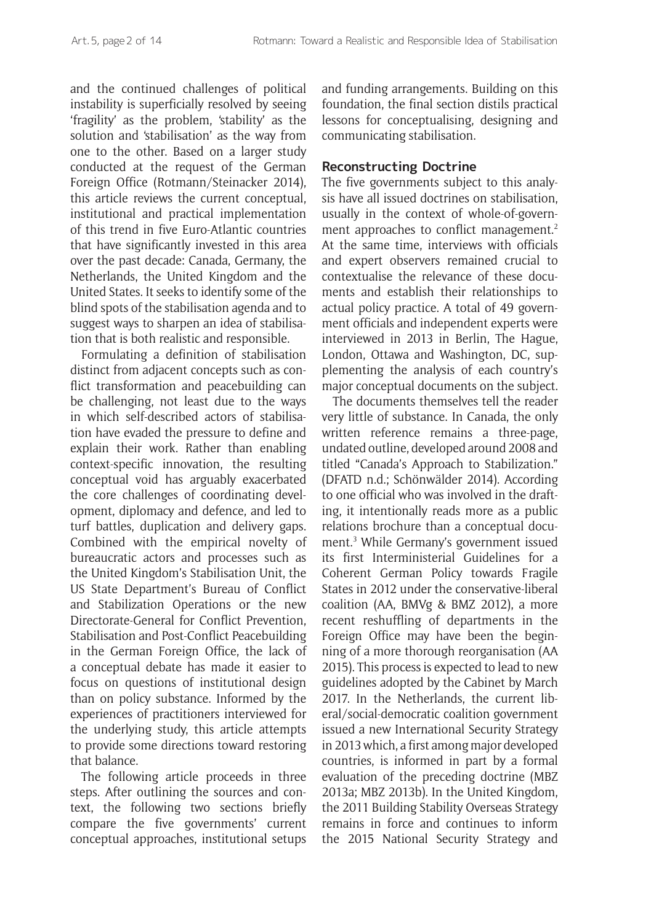and the continued challenges of political instability is superficially resolved by seeing 'fragility' as the problem, 'stability' as the solution and 'stabilisation' as the way from one to the other. Based on a larger study conducted at the request of the German Foreign Office (Rotmann/Steinacker 2014), this article reviews the current conceptual, institutional and practical implementation of this trend in five Euro-Atlantic countries that have significantly invested in this area over the past decade: Canada, Germany, the Netherlands, the United Kingdom and the United States. It seeks to identify some of the blind spots of the stabilisation agenda and to suggest ways to sharpen an idea of stabilisation that is both realistic and responsible.

Formulating a definition of stabilisation distinct from adjacent concepts such as conflict transformation and peacebuilding can be challenging, not least due to the ways in which self-described actors of stabilisation have evaded the pressure to define and explain their work. Rather than enabling context-specific innovation, the resulting conceptual void has arguably exacerbated the core challenges of coordinating development, diplomacy and defence, and led to turf battles, duplication and delivery gaps. Combined with the empirical novelty of bureaucratic actors and processes such as the United Kingdom's Stabilisation Unit, the US State Department's Bureau of Conflict and Stabilization Operations or the new Directorate-General for Conflict Prevention, Stabilisation and Post-Conflict Peacebuilding in the German Foreign Office, the lack of a conceptual debate has made it easier to focus on questions of institutional design than on policy substance. Informed by the experiences of practitioners interviewed for the underlying study, this article attempts to provide some directions toward restoring that balance.

The following article proceeds in three steps. After outlining the sources and context, the following two sections briefly compare the five governments' current conceptual approaches, institutional setups and funding arrangements. Building on this foundation, the final section distils practical lessons for conceptualising, designing and communicating stabilisation.

#### **Reconstructing Doctrine**

The five governments subject to this analysis have all issued doctrines on stabilisation, usually in the context of whole-of-government approaches to conflict management.<sup>2</sup> At the same time, interviews with officials and expert observers remained crucial to contextualise the relevance of these documents and establish their relationships to actual policy practice. A total of 49 government officials and independent experts were interviewed in 2013 in Berlin, The Hague, London, Ottawa and Washington, DC, supplementing the analysis of each country's major conceptual documents on the subject.

The documents themselves tell the reader very little of substance. In Canada, the only written reference remains a three-page, undated outline, developed around 2008 and titled "Canada's Approach to Stabilization." (DFATD n.d.; Schönwälder 2014). According to one official who was involved in the drafting, it intentionally reads more as a public relations brochure than a conceptual document.3 While Germany's government issued its first Interministerial Guidelines for a Coherent German Policy towards Fragile States in 2012 under the conservative-liberal coalition (AA, BMVg & BMZ 2012), a more recent reshuffling of departments in the Foreign Office may have been the beginning of a more thorough reorganisation (AA 2015). This process is expected to lead to new guidelines adopted by the Cabinet by March 2017. In the Netherlands, the current liberal/social-democratic coalition government issued a new International Security Strategy in 2013 which, a first among major developed countries, is informed in part by a formal evaluation of the preceding doctrine (MBZ 2013a; MBZ 2013b). In the United Kingdom, the 2011 Building Stability Overseas Strategy remains in force and continues to inform the 2015 National Security Strategy and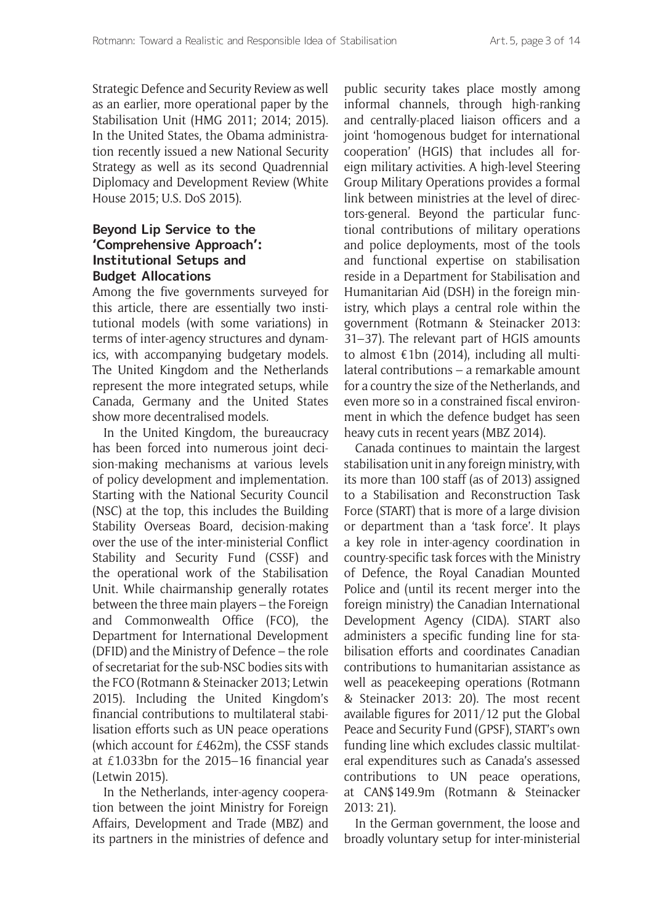Strategic Defence and Security Review as well as an earlier, more operational paper by the Stabilisation Unit (HMG 2011; 2014; 2015). In the United States, the Obama administration recently issued a new National Security Strategy as well as its second Quadrennial Diplomacy and Development Review (White House 2015; U.S. DoS 2015).

# **Beyond Lip Service to the 'Comprehensive Approach': Institutional Setups and Budget Allocations**

Among the five governments surveyed for this article, there are essentially two institutional models (with some variations) in terms of inter-agency structures and dynamics, with accompanying budgetary models. The United Kingdom and the Netherlands represent the more integrated setups, while Canada, Germany and the United States show more decentralised models.

In the United Kingdom, the bureaucracy has been forced into numerous joint decision-making mechanisms at various levels of policy development and implementation. Starting with the National Security Council (NSC) at the top, this includes the Building Stability Overseas Board, decision-making over the use of the inter-ministerial Conflict Stability and Security Fund (CSSF) and the operational work of the Stabilisation Unit. While chairmanship generally rotates between the three main players – the Foreign and Commonwealth Office (FCO), the Department for International Development (DFID) and the Ministry of Defence – the role of secretariat for the sub-NSC bodies sits with the FCO (Rotmann & Steinacker 2013; Letwin 2015). Including the United Kingdom's financial contributions to multilateral stabilisation efforts such as UN peace operations (which account for £462m), the CSSF stands at £1.033bn for the 2015–16 financial year (Letwin 2015).

In the Netherlands, inter-agency cooperation between the joint Ministry for Foreign Affairs, Development and Trade (MBZ) and its partners in the ministries of defence and

public security takes place mostly among informal channels, through high-ranking and centrally-placed liaison officers and a joint 'homogenous budget for international cooperation' (HGIS) that includes all foreign military activities. A high-level Steering Group Military Operations provides a formal link between ministries at the level of directors-general. Beyond the particular functional contributions of military operations and police deployments, most of the tools and functional expertise on stabilisation reside in a Department for Stabilisation and Humanitarian Aid (DSH) in the foreign ministry, which plays a central role within the government (Rotmann & Steinacker 2013: 31–37). The relevant part of HGIS amounts to almost  $\epsilon$ 1bn (2014), including all multilateral contributions – a remarkable amount for a country the size of the Netherlands, and even more so in a constrained fiscal environment in which the defence budget has seen heavy cuts in recent years (MBZ 2014).

Canada continues to maintain the largest stabilisation unit in any foreign ministry, with its more than 100 staff (as of 2013) assigned to a Stabilisation and Reconstruction Task Force (START) that is more of a large division or department than a 'task force'. It plays a key role in inter-agency coordination in country-specific task forces with the Ministry of Defence, the Royal Canadian Mounted Police and (until its recent merger into the foreign ministry) the Canadian International Development Agency (CIDA). START also administers a specific funding line for stabilisation efforts and coordinates Canadian contributions to humanitarian assistance as well as peacekeeping operations (Rotmann & Steinacker 2013: 20). The most recent available figures for 2011/12 put the Global Peace and Security Fund (GPSF), START's own funding line which excludes classic multilateral expenditures such as Canada's assessed contributions to UN peace operations, at CAN\$149.9m (Rotmann & Steinacker 2013: 21).

In the German government, the loose and broadly voluntary setup for inter-ministerial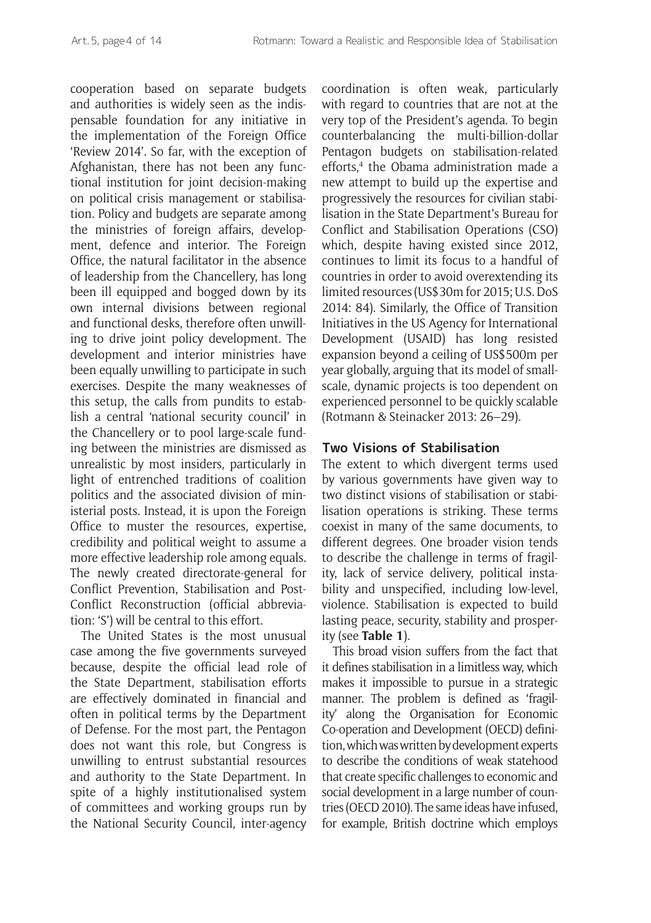cooperation based on separate budgets and authorities is widely seen as the indispensable foundation for any initiative in the implementation of the Foreign Office 'Review 2014'. So far, with the exception of Afghanistan, there has not been any functional institution for joint decision-making on political crisis management or stabilisation. Policy and budgets are separate among the ministries of foreign affairs, development, defence and interior. The Foreign Office, the natural facilitator in the absence of leadership from the Chancellery, has long been ill equipped and bogged down by its own internal divisions between regional and functional desks, therefore often unwilling to drive joint policy development. The development and interior ministries have been equally unwilling to participate in such exercises. Despite the many weaknesses of this setup, the calls from pundits to establish a central 'national security council' in the Chancellery or to pool large-scale funding between the ministries are dismissed as unrealistic by most insiders, particularly in light of entrenched traditions of coalition politics and the associated division of ministerial posts. Instead, it is upon the Foreign Office to muster the resources, expertise, credibility and political weight to assume a more effective leadership role among equals. The newly created directorate-general for Conflict Prevention, Stabilisation and Post-Conflict Reconstruction (official abbreviation: 'S') will be central to this effort.

The United States is the most unusual case among the five governments surveyed because, despite the official lead role of the State Department, stabilisation efforts are effectively dominated in financial and often in political terms by the Department of Defense. For the most part, the Pentagon does not want this role, but Congress is unwilling to entrust substantial resources and authority to the State Department. In spite of a highly institutionalised system of committees and working groups run by the National Security Council, inter-agency coordination is often weak, particularly with regard to countries that are not at the very top of the President's agenda. To begin counterbalancing the multi-billion-dollar Pentagon budgets on stabilisation-related efforts,<sup>4</sup> the Obama administration made a new attempt to build up the expertise and progressively the resources for civilian stabilisation in the State Department's Bureau for Conflict and Stabilisation Operations (CSO) which, despite having existed since 2012, continues to limit its focus to a handful of countries in order to avoid overextending its limited resources (US\$30m for 2015; U.S. DoS 2014: 84). Similarly, the Office of Transition Initiatives in the US Agency for International Development (USAID) has long resisted expansion beyond a ceiling of US\$500m per year globally, arguing that its model of smallscale, dynamic projects is too dependent on experienced personnel to be quickly scalable (Rotmann & Steinacker 2013: 26–29).

#### **Two Visions of Stabilisation**

The extent to which divergent terms used by various governments have given way to two distinct visions of stabilisation or stabilisation operations is striking. These terms coexist in many of the same documents, to different degrees. One broader vision tends to describe the challenge in terms of fragility, lack of service delivery, political instability and unspecified, including low-level, violence. Stabilisation is expected to build lasting peace, security, stability and prosperity (see **Table 1**).

This broad vision suffers from the fact that it defines stabilisation in a limitless way, which makes it impossible to pursue in a strategic manner. The problem is defined as 'fragility' along the Organisation for Economic Co-operation and Development (OECD) definition, which was written by development experts to describe the conditions of weak statehood that create specific challenges to economic and social development in a large number of countries (OECD 2010). The same ideas have infused, for example, British doctrine which employs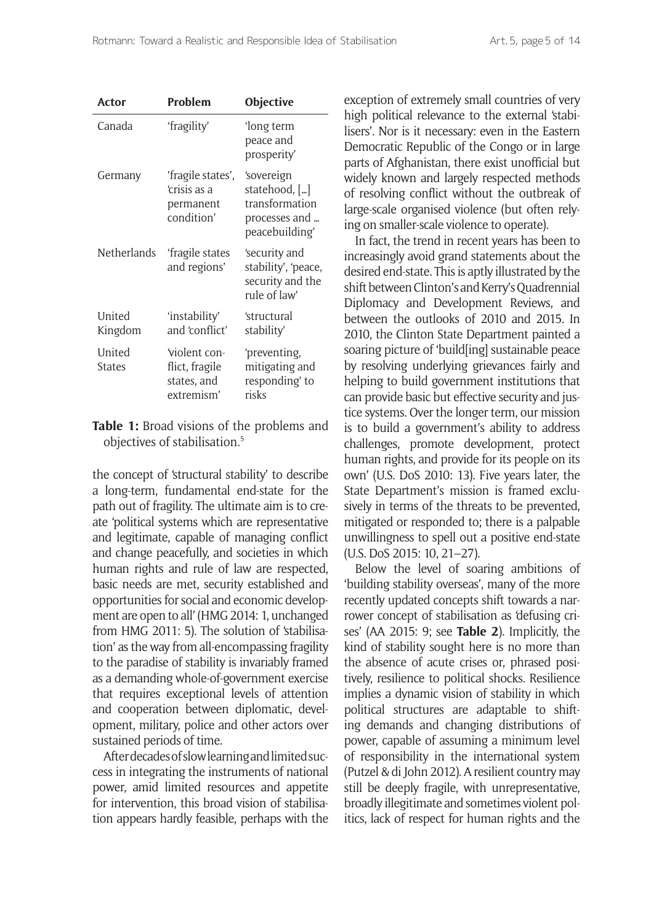| <b>Actor</b>            | Problem                                                            | <b>Objective</b>                                                                 |
|-------------------------|--------------------------------------------------------------------|----------------------------------------------------------------------------------|
| Canada                  | 'fragility'                                                        | 'long term<br>peace and<br>prosperity'                                           |
| Germany                 | 'fragile states',<br>ʻcrisis as a<br>permanent<br>condition'       | 'sovereign<br>statehood, []<br>transformation<br>processes and<br>peacebuilding' |
| Netherlands             | fragile states<br>and regions'                                     | 'security and<br>stability', 'peace,<br>security and the<br>rule of law'         |
| United<br>Kingdom       | 'instability'<br>and 'conflict'                                    | 'structural<br>stability'                                                        |
| United<br><b>States</b> | <i>violent con-</i><br>flict, fragile<br>states, and<br>extremism' | 'preventing,<br>mitigating and<br>responding' to<br>risks                        |

**Table 1:** Broad visions of the problems and objectives of stabilisation.5

the concept of 'structural stability' to describe a long-term, fundamental end-state for the path out of fragility. The ultimate aim is to create 'political systems which are representative and legitimate, capable of managing conflict and change peacefully, and societies in which human rights and rule of law are respected, basic needs are met, security established and opportunities for social and economic development are open to all' (HMG 2014: 1, unchanged from HMG 2011: 5). The solution of 'stabilisation' as the way from all-encompassing fragility to the paradise of stability is invariably framed as a demanding whole-of-government exercise that requires exceptional levels of attention and cooperation between diplomatic, development, military, police and other actors over sustained periods of time.

After decades of slow learning and limited success in integrating the instruments of national power, amid limited resources and appetite for intervention, this broad vision of stabilisation appears hardly feasible, perhaps with the exception of extremely small countries of very high political relevance to the external 'stabilisers'. Nor is it necessary: even in the Eastern Democratic Republic of the Congo or in large parts of Afghanistan, there exist unofficial but widely known and largely respected methods of resolving conflict without the outbreak of large-scale organised violence (but often relying on smaller-scale violence to operate).

In fact, the trend in recent years has been to increasingly avoid grand statements about the desired end-state. This is aptly illustrated by the shift between Clinton's and Kerry's Quadrennial Diplomacy and Development Reviews, and between the outlooks of 2010 and 2015. In 2010, the Clinton State Department painted a soaring picture of 'build[ing] sustainable peace by resolving underlying grievances fairly and helping to build government institutions that can provide basic but effective security and justice systems. Over the longer term, our mission is to build a government's ability to address challenges, promote development, protect human rights, and provide for its people on its own' (U.S. DoS 2010: 13). Five years later, the State Department's mission is framed exclusively in terms of the threats to be prevented, mitigated or responded to; there is a palpable unwillingness to spell out a positive end-state (U.S. DoS 2015: 10, 21–27).

Below the level of soaring ambitions of 'building stability overseas', many of the more recently updated concepts shift towards a narrower concept of stabilisation as 'defusing crises' (AA 2015: 9; see **Table 2**). Implicitly, the kind of stability sought here is no more than the absence of acute crises or, phrased positively, resilience to political shocks. Resilience implies a dynamic vision of stability in which political structures are adaptable to shifting demands and changing distributions of power, capable of assuming a minimum level of responsibility in the international system (Putzel & di John 2012). A resilient country may still be deeply fragile, with unrepresentative, broadly illegitimate and sometimes violent politics, lack of respect for human rights and the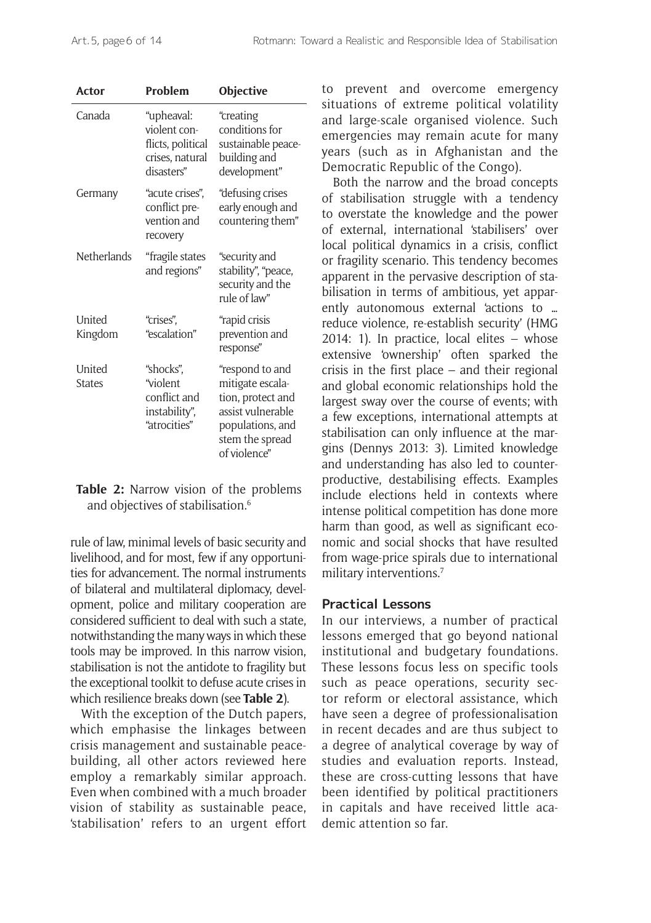| Actor                    | Problem                                                                          | Objective                                                                                                                            |
|--------------------------|----------------------------------------------------------------------------------|--------------------------------------------------------------------------------------------------------------------------------------|
| Canada                   | "upheaval:<br>violent con-<br>flicts, political<br>crises, natural<br>disasters" | "creating<br>conditions for<br>sustainable peace-<br>building and<br>development"                                                    |
| Germany                  | "acute crises",<br>conflict pre-<br>vention and<br>recovery                      | "defusing crises<br>early enough and<br>countering them"                                                                             |
| <b>Netherlands</b>       | "fragile states<br>and regions"                                                  | "security and<br>stability", "peace,<br>security and the<br>rule of law"                                                             |
| <b>United</b><br>Kingdom | "crises".<br>"escalation"                                                        | "rapid crisis<br>prevention and<br>response"                                                                                         |
| United<br><b>States</b>  | "shocks".<br>"violent<br>conflict and<br>instability",<br>"atrocities"           | "respond to and<br>mitigate escala-<br>tion, protect and<br>assist vulnerable<br>populations, and<br>stem the spread<br>of violence" |

**Table 2:** Narrow vision of the problems and objectives of stabilisation.6

rule of law, minimal levels of basic security and livelihood, and for most, few if any opportunities for advancement. The normal instruments of bilateral and multilateral diplomacy, development, police and military cooperation are considered sufficient to deal with such a state, notwithstanding the many ways in which these tools may be improved. In this narrow vision, stabilisation is not the antidote to fragility but the exceptional toolkit to defuse acute crises in which resilience breaks down (see **Table 2**).

With the exception of the Dutch papers, which emphasise the linkages between crisis management and sustainable peacebuilding, all other actors reviewed here employ a remarkably similar approach. Even when combined with a much broader vision of stability as sustainable peace, 'stabilisation' refers to an urgent effort to prevent and overcome emergency situations of extreme political volatility and large-scale organised violence. Such emergencies may remain acute for many years (such as in Afghanistan and the Democratic Republic of the Congo).

Both the narrow and the broad concepts of stabilisation struggle with a tendency to overstate the knowledge and the power of external, international 'stabilisers' over local political dynamics in a crisis, conflict or fragility scenario. This tendency becomes apparent in the pervasive description of stabilisation in terms of ambitious, yet apparently autonomous external 'actions to … reduce violence, re-establish security' (HMG 2014: 1). In practice, local elites – whose extensive 'ownership' often sparked the crisis in the first place – and their regional and global economic relationships hold the largest sway over the course of events; with a few exceptions, international attempts at stabilisation can only influence at the margins (Dennys 2013: 3). Limited knowledge and understanding has also led to counterproductive, destabilising effects. Examples include elections held in contexts where intense political competition has done more harm than good, as well as significant economic and social shocks that have resulted from wage-price spirals due to international military interventions.<sup>7</sup>

#### **Practical Lessons**

In our interviews, a number of practical lessons emerged that go beyond national institutional and budgetary foundations. These lessons focus less on specific tools such as peace operations, security sector reform or electoral assistance, which have seen a degree of professionalisation in recent decades and are thus subject to a degree of analytical coverage by way of studies and evaluation reports. Instead, these are cross-cutting lessons that have been identified by political practitioners in capitals and have received little academic attention so far.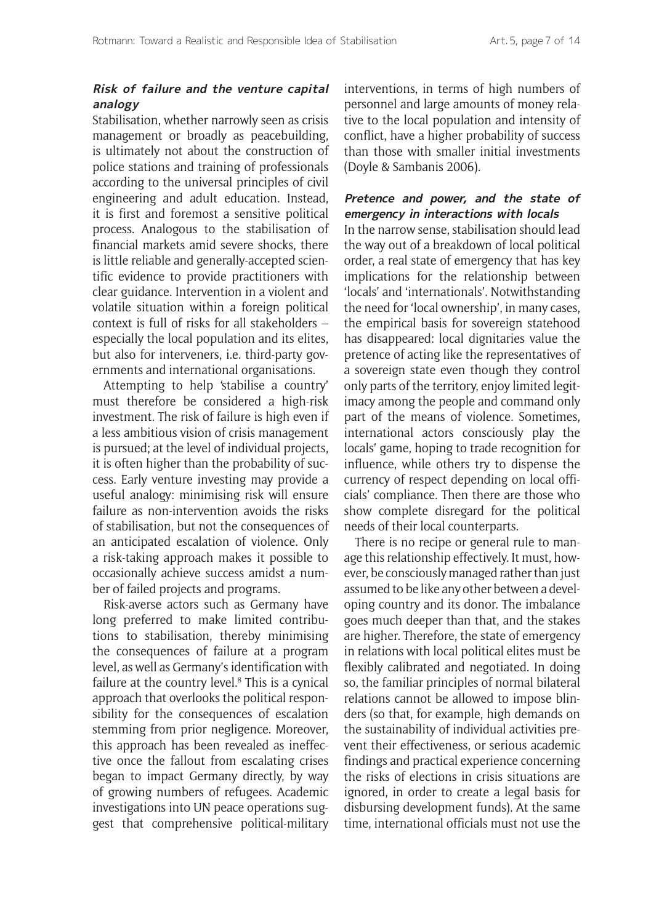# **Risk of failure and the venture capital analogy**

Stabilisation, whether narrowly seen as crisis management or broadly as peacebuilding, is ultimately not about the construction of police stations and training of professionals according to the universal principles of civil engineering and adult education. Instead, it is first and foremost a sensitive political process. Analogous to the stabilisation of financial markets amid severe shocks, there is little reliable and generally-accepted scientific evidence to provide practitioners with clear guidance. Intervention in a violent and volatile situation within a foreign political context is full of risks for all stakeholders – especially the local population and its elites, but also for interveners, i.e. third-party governments and international organisations.

Attempting to help 'stabilise a country' must therefore be considered a high-risk investment. The risk of failure is high even if a less ambitious vision of crisis management is pursued; at the level of individual projects, it is often higher than the probability of success. Early venture investing may provide a useful analogy: minimising risk will ensure failure as non-intervention avoids the risks of stabilisation, but not the consequences of an anticipated escalation of violence. Only a risk-taking approach makes it possible to occasionally achieve success amidst a number of failed projects and programs.

Risk-averse actors such as Germany have long preferred to make limited contributions to stabilisation, thereby minimising the consequences of failure at a program level, as well as Germany's identification with failure at the country level.<sup>8</sup> This is a cynical approach that overlooks the political responsibility for the consequences of escalation stemming from prior negligence. Moreover, this approach has been revealed as ineffective once the fallout from escalating crises began to impact Germany directly, by way of growing numbers of refugees. Academic investigations into UN peace operations suggest that comprehensive political-military

interventions, in terms of high numbers of personnel and large amounts of money relative to the local population and intensity of conflict, have a higher probability of success than those with smaller initial investments (Doyle & Sambanis 2006).

#### **Pretence and power, and the state of emergency in interactions with locals**

In the narrow sense, stabilisation should lead the way out of a breakdown of local political order, a real state of emergency that has key implications for the relationship between 'locals' and 'internationals'. Notwithstanding the need for 'local ownership', in many cases, the empirical basis for sovereign statehood has disappeared: local dignitaries value the pretence of acting like the representatives of a sovereign state even though they control only parts of the territory, enjoy limited legitimacy among the people and command only part of the means of violence. Sometimes, international actors consciously play the locals' game, hoping to trade recognition for influence, while others try to dispense the currency of respect depending on local officials' compliance. Then there are those who show complete disregard for the political needs of their local counterparts.

There is no recipe or general rule to manage this relationship effectively. It must, however, be consciously managed rather than just assumed to be like any other between a developing country and its donor. The imbalance goes much deeper than that, and the stakes are higher. Therefore, the state of emergency in relations with local political elites must be flexibly calibrated and negotiated. In doing so, the familiar principles of normal bilateral relations cannot be allowed to impose blinders (so that, for example, high demands on the sustainability of individual activities prevent their effectiveness, or serious academic findings and practical experience concerning the risks of elections in crisis situations are ignored, in order to create a legal basis for disbursing development funds). At the same time, international officials must not use the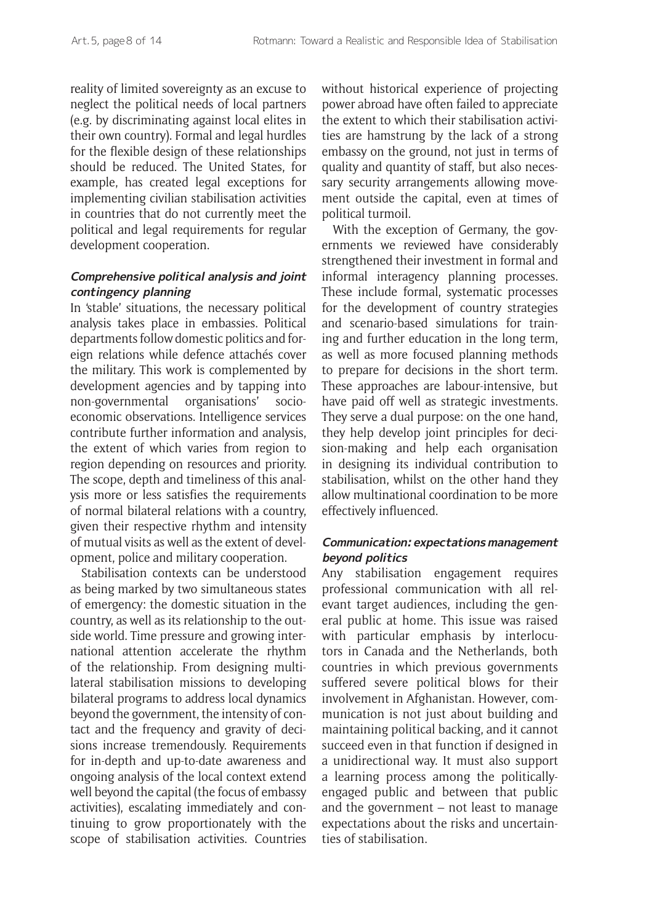reality of limited sovereignty as an excuse to neglect the political needs of local partners (e.g. by discriminating against local elites in their own country). Formal and legal hurdles for the flexible design of these relationships should be reduced. The United States, for example, has created legal exceptions for implementing civilian stabilisation activities in countries that do not currently meet the political and legal requirements for regular development cooperation.

#### **Comprehensive political analysis and joint contingency planning**

In 'stable' situations, the necessary political analysis takes place in embassies. Political departments follow domestic politics and foreign relations while defence attachés cover the military. This work is complemented by development agencies and by tapping into non-governmental organisations' socioeconomic observations. Intelligence services contribute further information and analysis, the extent of which varies from region to region depending on resources and priority. The scope, depth and timeliness of this analysis more or less satisfies the requirements of normal bilateral relations with a country, given their respective rhythm and intensity of mutual visits as well as the extent of development, police and military cooperation.

Stabilisation contexts can be understood as being marked by two simultaneous states of emergency: the domestic situation in the country, as well as its relationship to the outside world. Time pressure and growing international attention accelerate the rhythm of the relationship. From designing multilateral stabilisation missions to developing bilateral programs to address local dynamics beyond the government, the intensity of contact and the frequency and gravity of decisions increase tremendously. Requirements for in-depth and up-to-date awareness and ongoing analysis of the local context extend well beyond the capital (the focus of embassy activities), escalating immediately and continuing to grow proportionately with the scope of stabilisation activities. Countries without historical experience of projecting power abroad have often failed to appreciate the extent to which their stabilisation activities are hamstrung by the lack of a strong embassy on the ground, not just in terms of quality and quantity of staff, but also necessary security arrangements allowing movement outside the capital, even at times of political turmoil.

With the exception of Germany, the governments we reviewed have considerably strengthened their investment in formal and informal interagency planning processes. These include formal, systematic processes for the development of country strategies and scenario-based simulations for training and further education in the long term, as well as more focused planning methods to prepare for decisions in the short term. These approaches are labour-intensive, but have paid off well as strategic investments. They serve a dual purpose: on the one hand, they help develop joint principles for decision-making and help each organisation in designing its individual contribution to stabilisation, whilst on the other hand they allow multinational coordination to be more effectively influenced.

# **Communication: expectations management beyond politics**

Any stabilisation engagement requires professional communication with all relevant target audiences, including the general public at home. This issue was raised with particular emphasis by interlocutors in Canada and the Netherlands, both countries in which previous governments suffered severe political blows for their involvement in Afghanistan. However, communication is not just about building and maintaining political backing, and it cannot succeed even in that function if designed in a unidirectional way. It must also support a learning process among the politicallyengaged public and between that public and the government – not least to manage expectations about the risks and uncertainties of stabilisation.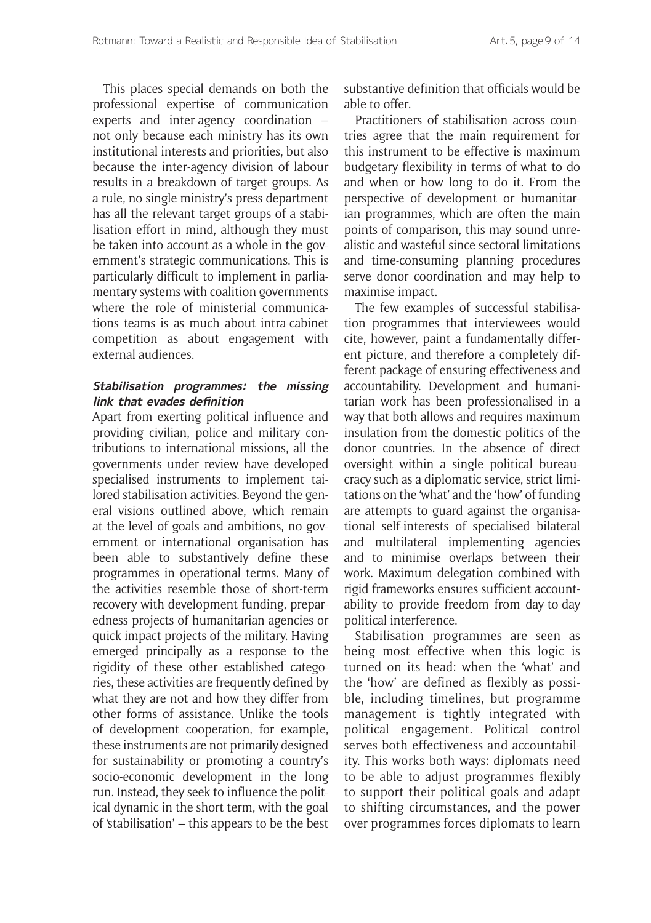This places special demands on both the professional expertise of communication experts and inter-agency coordination – not only because each ministry has its own institutional interests and priorities, but also because the inter-agency division of labour results in a breakdown of target groups. As a rule, no single ministry's press department has all the relevant target groups of a stabilisation effort in mind, although they must be taken into account as a whole in the government's strategic communications. This is particularly difficult to implement in parliamentary systems with coalition governments where the role of ministerial communications teams is as much about intra-cabinet competition as about engagement with external audiences.

#### **Stabilisation programmes: the missing link that evades definition**

Apart from exerting political influence and providing civilian, police and military contributions to international missions, all the governments under review have developed specialised instruments to implement tailored stabilisation activities. Beyond the general visions outlined above, which remain at the level of goals and ambitions, no government or international organisation has been able to substantively define these programmes in operational terms. Many of the activities resemble those of short-term recovery with development funding, preparedness projects of humanitarian agencies or quick impact projects of the military. Having emerged principally as a response to the rigidity of these other established categories, these activities are frequently defined by what they are not and how they differ from other forms of assistance. Unlike the tools of development cooperation, for example, these instruments are not primarily designed for sustainability or promoting a country's socio-economic development in the long run. Instead, they seek to influence the political dynamic in the short term, with the goal of 'stabilisation' – this appears to be the best

substantive definition that officials would be able to offer.

Practitioners of stabilisation across countries agree that the main requirement for this instrument to be effective is maximum budgetary flexibility in terms of what to do and when or how long to do it. From the perspective of development or humanitarian programmes, which are often the main points of comparison, this may sound unrealistic and wasteful since sectoral limitations and time-consuming planning procedures serve donor coordination and may help to maximise impact.

The few examples of successful stabilisation programmes that interviewees would cite, however, paint a fundamentally different picture, and therefore a completely different package of ensuring effectiveness and accountability. Development and humanitarian work has been professionalised in a way that both allows and requires maximum insulation from the domestic politics of the donor countries. In the absence of direct oversight within a single political bureaucracy such as a diplomatic service, strict limitations on the 'what' and the 'how' of funding are attempts to guard against the organisational self-interests of specialised bilateral and multilateral implementing agencies and to minimise overlaps between their work. Maximum delegation combined with rigid frameworks ensures sufficient accountability to provide freedom from day-to-day political interference.

Stabilisation programmes are seen as being most effective when this logic is turned on its head: when the 'what' and the 'how' are defined as flexibly as possible, including timelines, but programme management is tightly integrated with political engagement. Political control serves both effectiveness and accountability. This works both ways: diplomats need to be able to adjust programmes flexibly to support their political goals and adapt to shifting circumstances, and the power over programmes forces diplomats to learn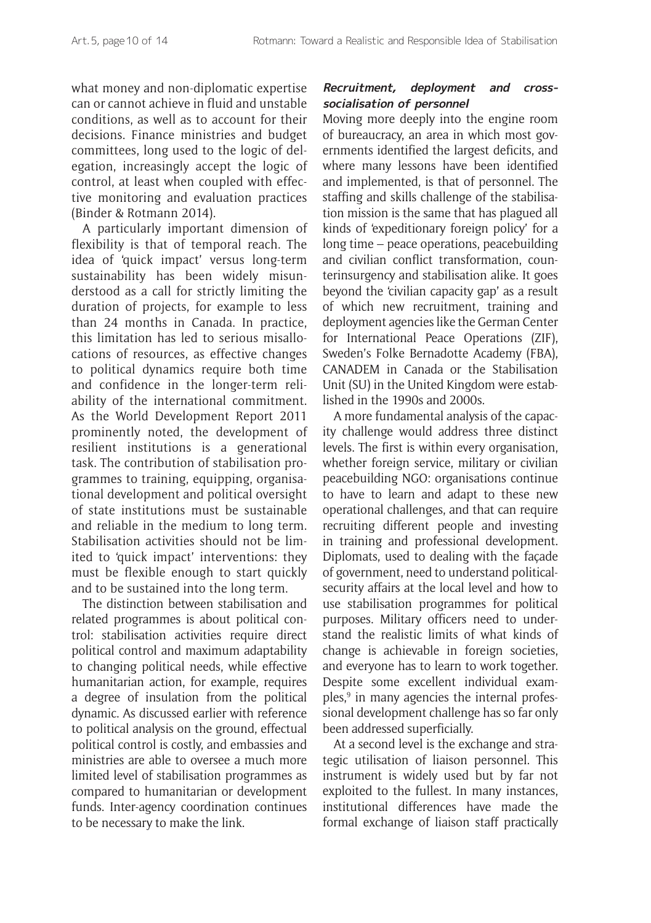what money and non-diplomatic expertise can or cannot achieve in fluid and unstable conditions, as well as to account for their decisions. Finance ministries and budget committees, long used to the logic of delegation, increasingly accept the logic of control, at least when coupled with effective monitoring and evaluation practices (Binder & Rotmann 2014).

A particularly important dimension of flexibility is that of temporal reach. The idea of 'quick impact' versus long-term sustainability has been widely misunderstood as a call for strictly limiting the duration of projects, for example to less than 24 months in Canada. In practice, this limitation has led to serious misallocations of resources, as effective changes to political dynamics require both time and confidence in the longer-term reliability of the international commitment. As the World Development Report 2011 prominently noted, the development of resilient institutions is a generational task. The contribution of stabilisation programmes to training, equipping, organisational development and political oversight of state institutions must be sustainable and reliable in the medium to long term. Stabilisation activities should not be limited to 'quick impact' interventions: they must be flexible enough to start quickly and to be sustained into the long term.

The distinction between stabilisation and related programmes is about political control: stabilisation activities require direct political control and maximum adaptability to changing political needs, while effective humanitarian action, for example, requires a degree of insulation from the political dynamic. As discussed earlier with reference to political analysis on the ground, effectual political control is costly, and embassies and ministries are able to oversee a much more limited level of stabilisation programmes as compared to humanitarian or development funds. Inter-agency coordination continues to be necessary to make the link.

# **Recruitment, deployment and crosssocialisation of personnel**

Moving more deeply into the engine room of bureaucracy, an area in which most governments identified the largest deficits, and where many lessons have been identified and implemented, is that of personnel. The staffing and skills challenge of the stabilisation mission is the same that has plagued all kinds of 'expeditionary foreign policy' for a long time – peace operations, peacebuilding and civilian conflict transformation, counterinsurgency and stabilisation alike. It goes beyond the 'civilian capacity gap' as a result of which new recruitment, training and deployment agencies like the German Center for International Peace Operations (ZIF), Sweden's Folke Bernadotte Academy (FBA), CANADEM in Canada or the Stabilisation Unit (SU) in the United Kingdom were established in the 1990s and 2000s.

A more fundamental analysis of the capacity challenge would address three distinct levels. The first is within every organisation, whether foreign service, military or civilian peacebuilding NGO: organisations continue to have to learn and adapt to these new operational challenges, and that can require recruiting different people and investing in training and professional development. Diplomats, used to dealing with the façade of government, need to understand politicalsecurity affairs at the local level and how to use stabilisation programmes for political purposes. Military officers need to understand the realistic limits of what kinds of change is achievable in foreign societies, and everyone has to learn to work together. Despite some excellent individual examples,9 in many agencies the internal professional development challenge has so far only been addressed superficially.

At a second level is the exchange and strategic utilisation of liaison personnel. This instrument is widely used but by far not exploited to the fullest. In many instances, institutional differences have made the formal exchange of liaison staff practically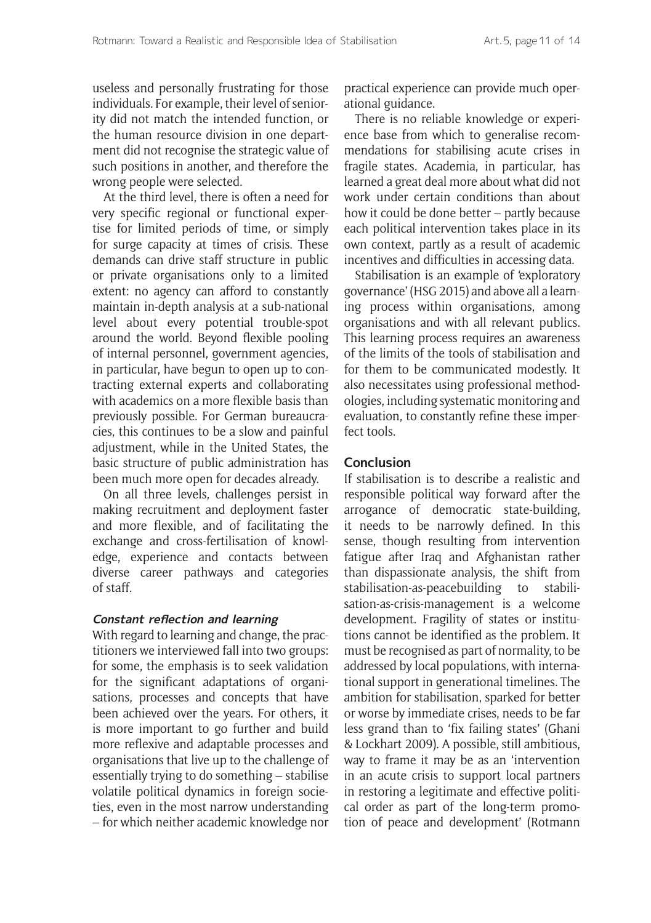useless and personally frustrating for those individuals. For example, their level of seniority did not match the intended function, or the human resource division in one department did not recognise the strategic value of such positions in another, and therefore the wrong people were selected.

At the third level, there is often a need for very specific regional or functional expertise for limited periods of time, or simply for surge capacity at times of crisis. These demands can drive staff structure in public or private organisations only to a limited extent: no agency can afford to constantly maintain in-depth analysis at a sub-national level about every potential trouble-spot around the world. Beyond flexible pooling of internal personnel, government agencies, in particular, have begun to open up to contracting external experts and collaborating with academics on a more flexible basis than previously possible. For German bureaucracies, this continues to be a slow and painful adjustment, while in the United States, the basic structure of public administration has been much more open for decades already.

On all three levels, challenges persist in making recruitment and deployment faster and more flexible, and of facilitating the exchange and cross-fertilisation of knowledge, experience and contacts between diverse career pathways and categories of staff.

#### **Constant reflection and learning**

With regard to learning and change, the practitioners we interviewed fall into two groups: for some, the emphasis is to seek validation for the significant adaptations of organisations, processes and concepts that have been achieved over the years. For others, it is more important to go further and build more reflexive and adaptable processes and organisations that live up to the challenge of essentially trying to do something – stabilise volatile political dynamics in foreign societies, even in the most narrow understanding – for which neither academic knowledge nor

practical experience can provide much operational guidance.

There is no reliable knowledge or experience base from which to generalise recommendations for stabilising acute crises in fragile states. Academia, in particular, has learned a great deal more about what did not work under certain conditions than about how it could be done better – partly because each political intervention takes place in its own context, partly as a result of academic incentives and difficulties in accessing data.

Stabilisation is an example of 'exploratory governance' (HSG 2015) and above all a learning process within organisations, among organisations and with all relevant publics. This learning process requires an awareness of the limits of the tools of stabilisation and for them to be communicated modestly. It also necessitates using professional methodologies, including systematic monitoring and evaluation, to constantly refine these imperfect tools.

#### **Conclusion**

If stabilisation is to describe a realistic and responsible political way forward after the arrogance of democratic state-building, it needs to be narrowly defined. In this sense, though resulting from intervention fatigue after Iraq and Afghanistan rather than dispassionate analysis, the shift from stabilisation-as-peacebuilding to stabilisation-as-crisis-management is a welcome development. Fragility of states or institutions cannot be identified as the problem. It must be recognised as part of normality, to be addressed by local populations, with international support in generational timelines. The ambition for stabilisation, sparked for better or worse by immediate crises, needs to be far less grand than to 'fix failing states' (Ghani & Lockhart 2009). A possible, still ambitious, way to frame it may be as an 'intervention in an acute crisis to support local partners in restoring a legitimate and effective political order as part of the long-term promotion of peace and development' (Rotmann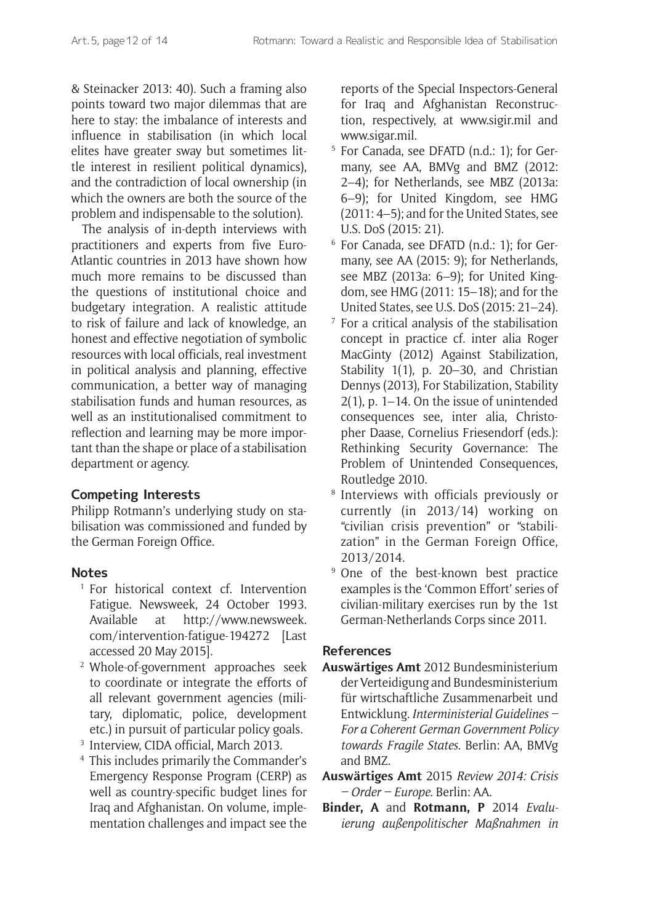& Steinacker 2013: 40). Such a framing also points toward two major dilemmas that are here to stay: the imbalance of interests and influence in stabilisation (in which local elites have greater sway but sometimes little interest in resilient political dynamics), and the contradiction of local ownership (in which the owners are both the source of the problem and indispensable to the solution).

The analysis of in-depth interviews with practitioners and experts from five Euro-Atlantic countries in 2013 have shown how much more remains to be discussed than the questions of institutional choice and budgetary integration. A realistic attitude to risk of failure and lack of knowledge, an honest and effective negotiation of symbolic resources with local officials, real investment in political analysis and planning, effective communication, a better way of managing stabilisation funds and human resources, as well as an institutionalised commitment to reflection and learning may be more important than the shape or place of a stabilisation department or agency.

# **Competing Interests**

Philipp Rotmann's underlying study on stabilisation was commissioned and funded by the German Foreign Office.

# **Notes**

- <sup>1</sup> For historical context cf. Intervention Fatigue. Newsweek, 24 October 1993. Available at [http://www.newsweek.](http://www.newsweek.com/intervention-fatigue-194272) [com/intervention-fatigue-194272](http://www.newsweek.com/intervention-fatigue-194272) [Last accessed 20 May 2015].
- <sup>2</sup> Whole-of-government approaches seek to coordinate or integrate the efforts of all relevant government agencies (military, diplomatic, police, development etc.) in pursuit of particular policy goals.
- <sup>3</sup> Interview, CIDA official, March 2013.
- <sup>4</sup> This includes primarily the Commander's Emergency Response Program (CERP) as well as country-specific budget lines for Iraq and Afghanistan. On volume, implementation challenges and impact see the

reports of the Special Inspectors-General for Iraq and Afghanistan Reconstruction, respectively, at [www.sigir.mil](http://www.sigir.mil) and [www.sigar.mil.](http://www.sigir.mil)

- <sup>5</sup> For Canada, see DFATD (n.d.: 1); for Germany, see AA, BMVg and BMZ (2012: 2–4); for Netherlands, see MBZ (2013a: 6–9); for United Kingdom, see HMG (2011: 4–5); and for the United States, see U.S. DoS (2015: 21).
- <sup>6</sup> For Canada, see DFATD (n.d.: 1); for Germany, see AA (2015: 9); for Netherlands, see MBZ (2013a: 6–9); for United Kingdom, see HMG (2011: 15–18); and for the United States, see U.S. DoS (2015: 21–24).
- <sup>7</sup> For a critical analysis of the stabilisation concept in practice cf. inter alia Roger MacGinty (2012) Against Stabilization, Stability  $1(1)$ , p. 20–30, and Christian Dennys (2013), For Stabilization, Stability 2(1), p. 1–14. On the issue of unintended consequences see, inter alia, Christopher Daase, Cornelius Friesendorf (eds.): Rethinking Security Governance: The Problem of Unintended Consequences, Routledge 2010.
- <sup>8</sup> Interviews with officials previously or currently (in 2013/14) working on "civilian crisis prevention" or "stabilization" in the German Foreign Office, 2013/2014.
- <sup>9</sup> One of the best-known best practice examples is the 'Common Effort' series of civilian-military exercises run by the 1st German-Netherlands Corps since 2011.

# **References**

- **Auswärtiges Amt** 2012 Bundesministerium der Verteidigung and Bundesministerium für wirtschaftliche Zusammenarbeit und Entwicklung. *Interministerial Guidelines – For a Coherent German Government Policy towards Fragile States*. Berlin: AA, BMVg and BMZ.
- **Auswärtiges Amt** 2015 *Review 2014: Crisis – Order – Europe*. Berlin: AA.
- **Binder, A** and **Rotmann, P** 2014 *Evaluierung außenpolitischer Maßnahmen in*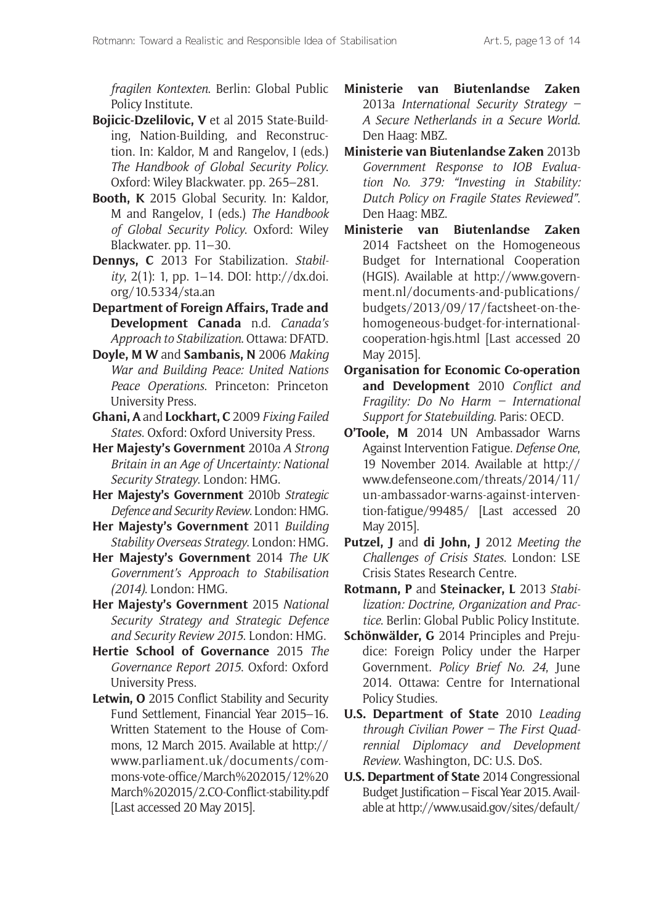*fragilen Kontexten*. Berlin: Global Public Policy Institute.

- **Bojicic-Dzelilovic, V** et al 2015 State-Building, Nation-Building, and Reconstruction. In: Kaldor, M and Rangelov, I (eds.) *The Handbook of Global Security Policy*. Oxford: Wiley Blackwater. pp. 265–281.
- **Booth, K** 2015 Global Security. In: Kaldor, M and Rangelov, I (eds.) *The Handbook of Global Security Policy*. Oxford: Wiley Blackwater. pp. 11–30.
- **Dennys, C** 2013 For Stabilization. *Stability*, 2(1): 1, pp. 1–14. DOI: [http://dx.doi.](http://dx.doi.org/10.5334/sta.an) [org/10.5334/sta.an](http://dx.doi.org/10.5334/sta.an)
- **Department of Foreign Affairs, Trade and Development Canada** n.d. *Canada's Approach to Stabilization*. Ottawa: DFATD.
- **Doyle, M W** and **Sambanis, N** 2006 *Making War and Building Peace: United Nations Peace Operations*. Princeton: Princeton University Press.
- **Ghani, A** and **Lockhart, C** 2009 *Fixing Failed States*. Oxford: Oxford University Press.
- **Her Majesty's Government** 2010a *A Strong Britain in an Age of Uncertainty: National Security Strategy*. London: HMG.
- **Her Majesty's Government** 2010b *Strategic Defence and Security Review*. London: HMG.
- **Her Majesty's Government** 2011 *Building Stability Overseas Strategy*. London: HMG.
- **Her Majesty's Government** 2014 *The UK Government's Approach to Stabilisation (2014)*. London: HMG.
- **Her Majesty's Government** 2015 *National Security Strategy and Strategic Defence and Security Review 2015*. London: HMG.
- **Hertie School of Governance** 2015 *The Governance Report 2015*. Oxford: Oxford University Press.
- **Letwin, O** 2015 Conflict Stability and Security Fund Settlement, Financial Year 2015–16. Written Statement to the House of Commons, 12 March 2015. Available at [http://](http://www.parliament.uk/documents/commons-vote-office/March%202015/12%20March%202015/2.CO-Conflict-stability.pdf) [www.parliament.uk/documents/com](http://www.parliament.uk/documents/commons-vote-office/March%202015/12%20March%202015/2.CO-Conflict-stability.pdf)[mons-vote-office/March%202015/12%20](http://www.parliament.uk/documents/commons-vote-office/March%202015/12%20March%202015/2.CO-Conflict-stability.pdf) [March%202015/2.CO-Conflict-stability.pdf](http://www.parliament.uk/documents/commons-vote-office/March%202015/12%20March%202015/2.CO-Conflict-stability.pdf) [Last accessed 20 May 2015].
- **Ministerie van Biutenlandse Zaken** 2013a *International Security Strategy – A Secure Netherlands in a Secure World*. Den Haag: MBZ.
- **Ministerie van Biutenlandse Zaken** 2013b *Government Response to IOB Evaluation No. 379: "Investing in Stability: Dutch Policy on Fragile States Reviewed"*. Den Haag: MBZ.
- **Ministerie van Biutenlandse Zaken** 2014 Factsheet on the Homogeneous Budget for International Cooperation (HGIS). Available at [http://www.govern](http://www.government.nl/documents-and-publications/budgets/2013/09/17/factsheet-on-the-homogeneous-budget-for-international-cooperation-hgis.html)[ment.nl/documents-and-publications/](http://www.government.nl/documents-and-publications/budgets/2013/09/17/factsheet-on-the-homogeneous-budget-for-international-cooperation-hgis.html) [budgets/2013/09/17/factsheet-on-the](http://www.government.nl/documents-and-publications/budgets/2013/09/17/factsheet-on-the-homogeneous-budget-for-international-cooperation-hgis.html)[homogeneous-budget-for-international](http://www.government.nl/documents-and-publications/budgets/2013/09/17/factsheet-on-the-homogeneous-budget-for-international-cooperation-hgis.html)[cooperation-hgis.html](http://www.government.nl/documents-and-publications/budgets/2013/09/17/factsheet-on-the-homogeneous-budget-for-international-cooperation-hgis.html) [Last accessed 20 May 2015].
- **Organisation for Economic Co-operation and Development** 2010 *Conflict and Fragility: Do No Harm – International Support for Statebuilding*. Paris: OECD.
- **O'Toole, M** 2014 UN Ambassador Warns Against Intervention Fatigue. *Defense One*, 19 November 2014. Available at [http://](http://www.defenseone.com/threats/2014/11/un-ambassador-warns-against-intervention-fatigue/99485/) [www.defenseone.com/threats/2014/11/](http://www.defenseone.com/threats/2014/11/un-ambassador-warns-against-intervention-fatigue/99485/) [un-ambassador-warns-against-interven](http://www.defenseone.com/threats/2014/11/un-ambassador-warns-against-intervention-fatigue/99485/)[tion-fatigue/99485/](http://www.defenseone.com/threats/2014/11/un-ambassador-warns-against-intervention-fatigue/99485/) [Last accessed 20 May 2015].
- **Putzel, J** and **di John, J** 2012 *Meeting the Challenges of Crisis States*. London: LSE Crisis States Research Centre.
- **Rotmann, P** and **Steinacker, L** 2013 *Stabilization: Doctrine, Organization and Practice*. Berlin: Global Public Policy Institute.
- **Schönwälder, G** 2014 Principles and Prejudice: Foreign Policy under the Harper Government. *Policy Brief No. 24*, June 2014. Ottawa: Centre for International Policy Studies.
- **U.S. Department of State** 2010 *Leading through Civilian Power – The First Quadrennial Diplomacy and Development Review*. Washington, DC: U.S. DoS.
- **U.S. Department of State** 2014 Congressional Budget Justification – Fiscal Year 2015. Available at [http://www.usaid.gov/sites/default/](http://www.usaid.gov/sites/default/files/documents/9276/222898.pdf)